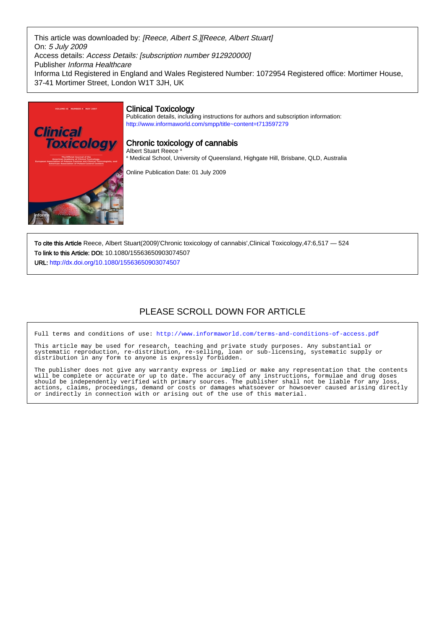This article was downloaded by: [Reece, Albert S.][Reece, Albert Stuart] On: 5 July 2009 Access details: Access Details: [subscription number 912920000] Publisher Informa Healthcare Informa Ltd Registered in England and Wales Registered Number: 1072954 Registered office: Mortimer House, 37-41 Mortimer Street, London W1T 3JH, UK



To cite this Article Reece, Albert Stuart(2009)'Chronic toxicology of cannabis',Clinical Toxicology,47:6,517 — 524 To link to this Article: DOI: 10.1080/15563650903074507 URL: <http://dx.doi.org/10.1080/15563650903074507>

# PLEASE SCROLL DOWN FOR ARTICLE

Full terms and conditions of use:<http://www.informaworld.com/terms-and-conditions-of-access.pdf>

This article may be used for research, teaching and private study purposes. Any substantial or systematic reproduction, re-distribution, re-selling, loan or sub-licensing, systematic supply or systematic reproduction, re-distribution, re-selling, loan distribution in any form to anyone is expressly forbidden.

The publisher does not give any warranty express or implied or make any representation that the contents will be complete or accurate or up to date. The accuracy of any instructions, formulae and drug doses should be independently verified with primary sources. The publisher shall not be liable for any loss, actions, claims, proceedings, demand or costs or damages whatsoever or howsoever caused arising directly or indirectly in connection with or arising out of the use of this material.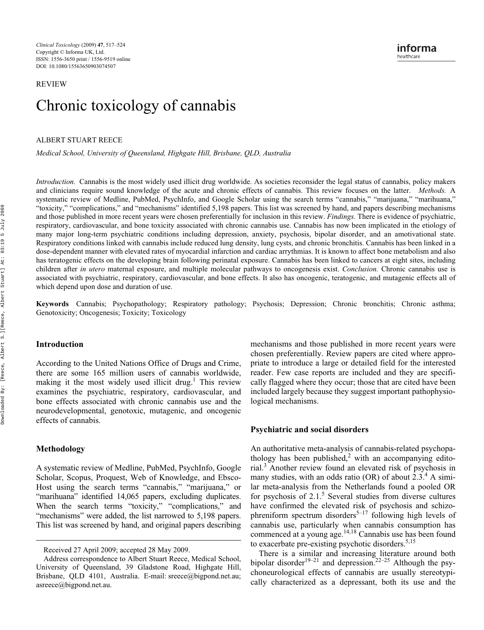**REVIEW** 

# Chronic toxicology of cannabis

**ALBERT STUART REECE** 

*Medical School, University of Queensland, Highgate Hill, Brisbane, QLD, Australia*

*Introduction.* Cannabis is the most widely used illicit drug worldwide. As societies reconsider the legal status of cannabis, policy makers and clinicians require sound knowledge of the acute and chronic effects of cannabis. This review focuses on the latter. *Methods.* A systematic review of Medline, PubMed, PsychInfo, and Google Scholar using the search terms "cannabis," "marijuana," "marihuana," "toxicity," "complications," and "mechanisms" identified 5,198 papers. This list was screened by hand, and papers describing mechanisms and those published in more recent years were chosen preferentially for inclusion in this review. *Findings.* There is evidence of psychiatric, respiratory, cardiovascular, and bone toxicity associated with chronic cannabis use. Cannabis has now been implicated in the etiology of many major long-term psychiatric conditions including depression, anxiety, psychosis, bipolar disorder, and an amotivational state. Respiratory conditions linked with cannabis include reduced lung density, lung cysts, and chronic bronchitis. Cannabis has been linked in a dose-dependent manner with elevated rates of myocardial infarction and cardiac arrythmias. It is known to affect bone metabolism and also has teratogenic effects on the developing brain following perinatal exposure. Cannabis has been linked to cancers at eight sites, including children after *in utero* maternal exposure, and multiple molecular pathways to oncogenesis exist. *Conclusion.* Chronic cannabis use is associated with psychiatric, respiratory, cardiovascular, and bone effects. It also has oncogenic, teratogenic, and mutagenic effects all of which depend upon dose and duration of use.

**Keywords** Cannabis; Psychopathology; Respiratory pathology; Psychosis; Depression; Chronic bronchitis; Chronic asthma; Genotoxicity; Oncogenesis; Toxicity; Toxicology

#### **Introduction**

According to the United Nations Office of Drugs and Crime, there are some 165 million users of cannabis worldwide, making it the most widely used illicit drug.<sup>1</sup> This review examines the psychiatric, respiratory, cardiovascular, and bone effects associated with chronic cannabis use and the neurodevelopmental, genotoxic, mutagenic, and oncogenic effects of cannabis.

# **Methodology**

A systematic review of Medline, PubMed, PsychInfo, Google Scholar, Scopus, Proquest, Web of Knowledge, and Ebsco-Host using the search terms "cannabis," "marijuana," or "marihuana" identified 14,065 papers, excluding duplicates. When the search terms "toxicity," "complications," and "mechanisms" were added, the list narrowed to 5,198 papers. This list was screened by hand, and original papers describing mechanisms and those published in more recent years were chosen preferentially. Review papers are cited where appropriate to introduce a large or detailed field for the interested reader. Few case reports are included and they are specifically flagged where they occur; those that are cited have been included largely because they suggest important pathophysiological mechanisms.

#### **Psychiatric and social disorders**

An authoritative meta-analysis of cannabis-related psychopathology has been published,<sup>2</sup> with an accompanying editorial.3 Another review found an elevated risk of psychosis in many studies, with an odds ratio (OR) of about  $2.3.^4$  A similar meta-analysis from the Netherlands found a pooled OR for psychosis of  $2.1$ .<sup>5</sup> Several studies from diverse cultures have confirmed the elevated risk of psychosis and schizophreniform spectrum disorders<sup>5–17</sup> following high levels of cannabis use, particularly when cannabis consumption has commenced at a young age.<sup>14,18</sup> Cannabis use has been found to exacerbate pre-existing psychotic disorders.<sup>5,15</sup>

There is a similar and increasing literature around both bipolar disorder<sup>19–21</sup> and depression.<sup>22–25</sup> Although the psychoneurological effects of cannabis are usually stereotypically characterized as a depressant, both its use and the

Received 27 April 2009; accepted 28 May 2009.

Address correspondence to Albert Stuart Reece, Medical School, University of Queensland, 39 Gladstone Road, Highgate Hill, Brisbane, QLD 4101, Australia. E-mail: sreece@bigpond.net.au; asreece@bigpond.net.au.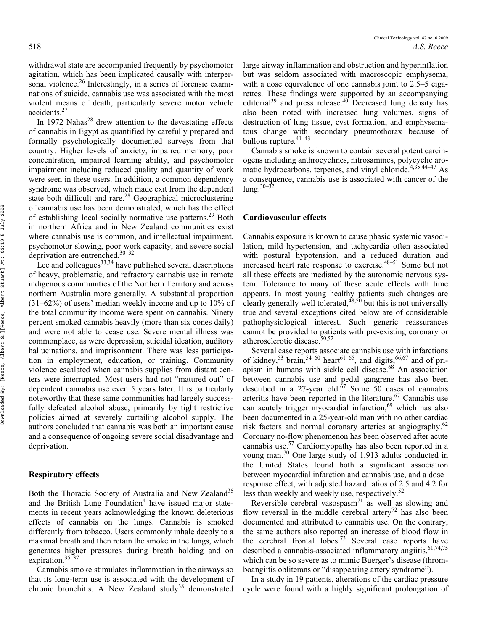withdrawal state are accompanied frequently by psychomotor agitation, which has been implicated causally with interpersonal violence.<sup>26</sup> Interestingly, in a series of forensic examinations of suicide, cannabis use was associated with the most violent means of death, particularly severe motor vehicle accidents.27

In 1972 Nahas<sup>28</sup> drew attention to the devastating effects of cannabis in Egypt as quantified by carefully prepared and formally psychologically documented surveys from that country. Higher levels of anxiety, impaired memory, poor concentration, impaired learning ability, and psychomotor impairment including reduced quality and quantity of work were seen in these users. In addition, a common dependency syndrome was observed, which made exit from the dependent state both difficult and rare.<sup>28</sup> Geographical microclustering of cannabis use has been demonstrated, which has the effect of establishing local socially normative use patterns.<sup>29</sup> Both in northern Africa and in New Zealand communities exist where cannabis use is common, and intellectual impairment, psychomotor slowing, poor work capacity, and severe social deprivation are entrenched.30–32

Lee and colleagues $33,34$  have published several descriptions of heavy, problematic, and refractory cannabis use in remote indigenous communities of the Northern Territory and across northern Australia more generally. A substantial proportion (31–62%) of users' median weekly income and up to 10% of the total community income were spent on cannabis. Ninety percent smoked cannabis heavily (more than six cones daily) and were not able to cease use. Severe mental illness was commonplace, as were depression, suicidal ideation, auditory hallucinations, and imprisonment. There was less participation in employment, education, or training. Community violence escalated when cannabis supplies from distant centers were interrupted. Most users had not "matured out" of dependent cannabis use even 5 years later. It is particularly noteworthy that these same communities had largely successfully defeated alcohol abuse, primarily by tight restrictive policies aimed at severely curtailing alcohol supply. The authors concluded that cannabis was both an important cause and a consequence of ongoing severe social disadvantage and deprivation.

# **Respiratory effects**

Both the Thoracic Society of Australia and New Zealand<sup>35</sup> and the British Lung Foundation<sup>4</sup> have issued major statements in recent years acknowledging the known deleterious effects of cannabis on the lungs. Cannabis is smoked differently from tobacco. Users commonly inhale deeply to a maximal breath and then retain the smoke in the lungs, which generates higher pressures during breath holding and on expiration.  $35-37$ 

Cannabis smoke stimulates inflammation in the airways so that its long-term use is associated with the development of chronic bronchitis. A New Zealand study<sup>38</sup> demonstrated

large airway inflammation and obstruction and hyperinflation but was seldom associated with macroscopic emphysema, with a dose equivalence of one cannabis joint to 2.5–5 cigarettes. These findings were supported by an accompanying editorial<sup>39</sup> and press release.<sup>40</sup> Decreased lung density has also been noted with increased lung volumes, signs of destruction of lung tissue, cyst formation, and emphysematous change with secondary pneumothorax because of bullous rupture. $41-43$ 

Cannabis smoke is known to contain several potent carcinogens including anthrocyclines, nitrosamines, polycyclic aromatic hydrocarbons, terpenes, and vinyl chloride.<sup>4,35,44–47</sup> As a consequence, cannabis use is associated with cancer of the  $\ln 2^{30-32}$ 

#### **Cardiovascular effects**

Cannabis exposure is known to cause phasic systemic vasodilation, mild hypertension, and tachycardia often associated with postural hypotension, and a reduced duration and increased heart rate response to exercise.<sup>48–51</sup> Some but not all these effects are mediated by the autonomic nervous system. Tolerance to many of these acute effects with time appears. In most young healthy patients such changes are clearly generally well tolerated,<sup>48,50</sup> but this is not universally true and several exceptions cited below are of considerable pathophysiological interest. Such generic reassurances cannot be provided to patients with pre-existing coronary or atherosclerotic disease.<sup>50,52</sup>

Several case reports associate cannabis use with infarctions of kidney,<sup>53</sup> brain,<sup>54–60</sup> heart<sup>61–65</sup>, and digits,<sup>66,67</sup> and of priapism in humans with sickle cell disease.<sup>68</sup> An association between cannabis use and pedal gangrene has also been described in a 27-year old.<sup>67</sup> Some 50 cases of cannabis arteritis have been reported in the literature.<sup>67</sup> Cannabis use can acutely trigger myocardial infarction,  $69$  which has also been documented in a 25-year-old man with no other cardiac risk factors and normal coronary arteries at angiography.<sup>62</sup> Coronary no-flow phenomenon has been observed after acute cannabis use.57 Cardiomyopathy has also been reported in a young man.70 One large study of 1,913 adults conducted in the United States found both a significant association between myocardial infarction and cannabis use, and a dose– response effect, with adjusted hazard ratios of 2.5 and 4.2 for less than weekly and weekly use, respectively.<sup>52</sup>

Reversible cerebral vasospasm<sup>71</sup> as well as slowing and flow reversal in the middle cerebral artery<sup>72</sup> has also been documented and attributed to cannabis use. On the contrary, the same authors also reported an increase of blood flow in the cerebral frontal  $10^{12}$  Several case reports have described a cannabis-associated inflammatory angiitis,  $61,74,75$ which can be so severe as to mimic Buerger's disease (thromboangiitis obliterans or "disappearing artery syndrome").

In a study in 19 patients, alterations of the cardiac pressure cycle were found with a highly significant prolongation of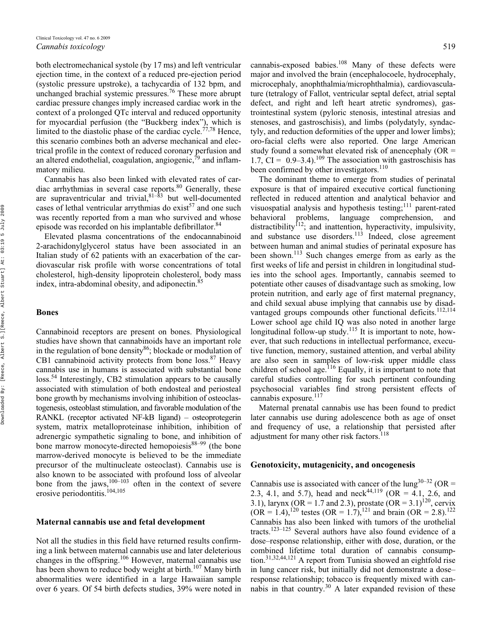both electromechanical systole (by 17 ms) and left ventricular ejection time, in the context of a reduced pre-ejection period (systolic pressure upstroke), a tachycardia of 132 bpm, and unchanged brachial systemic pressures.76 These more abrupt cardiac pressure changes imply increased cardiac work in the context of a prolonged QTc interval and reduced opportunity for myocardial perfusion (the "Buckberg index"), which is limited to the diastolic phase of the cardiac cycle.<sup> $77,78$ </sup> Hence, this scenario combines both an adverse mechanical and electrical profile in the context of reduced coronary perfusion and an altered endothelial, coagulation, angiogenic, $\bar{7}^9$  and inflammatory milieu.

Cannabis has also been linked with elevated rates of cardiac arrhythmias in several case reports.<sup>80</sup> Generally, these are supraventricular and trivial,  $81-\overline{8}3$  but well-documented cases of lethal ventricular arrythmias do exist<sup>57</sup> and one such was recently reported from a man who survived and whose episode was recorded on his implantable defibrillator.<sup>84</sup>

Elevated plasma concentrations of the endocannabinoid 2-arachidonylglycerol status have been associated in an Italian study of 62 patients with an exacerbation of the cardiovascular risk profile with worse concentrations of total cholesterol, high-density lipoprotein cholesterol, body mass index, intra-abdominal obesity, and adiponectin.<sup>85</sup>

#### **Bones**

Cannabinoid receptors are present on bones. Physiological studies have shown that cannabinoids have an important role in the regulation of bone density $86$ ; blockade or modulation of CB1 cannabinoid activity protects from bone loss.<sup>87</sup> Heavy cannabis use in humans is associated with substantial bone loss.54 Interestingly, CB2 stimulation appears to be causally associated with stimulation of both endosteal and periosteal bone growth by mechanisms involving inhibition of osteoclastogenesis, osteoblast stimulation, and favorable modulation of the RANKL (receptor activated NF-kB ligand) – osteoprotegerin system, matrix metalloproteinase inhibition, inhibition of adrenergic sympathetic signaling to bone, and inhibition of bone marrow monocyte-directed hemopoiesis $88-99$  (the bone marrow-derived monocyte is believed to be the immediate precursor of the multinucleate osteoclast). Cannabis use is also known to be associated with profound loss of alveolar bone from the jaws, $100-103$  often in the context of severe erosive periodontitis.<sup>104,105</sup>

# **Maternal cannabis use and fetal development**

Not all the studies in this field have returned results confirming a link between maternal cannabis use and later deleterious changes in the offspring.106 However, maternal cannabis use has been shown to reduce body weight at birth.<sup>107</sup> Many birth abnormalities were identified in a large Hawaiian sample over 6 years. Of 54 birth defects studies, 39% were noted in

cannabis-exposed babies.<sup>108</sup> Many of these defects were major and involved the brain (encephalocoele, hydrocephaly, microcephaly, anophthalmia/microphthalmia), cardiovasculature (tetralogy of Fallot, ventricular septal defect, atrial septal defect, and right and left heart atretic syndromes), gastrointestinal system (pyloric stenosis, intestinal atresias and stenoses, and gastroschisis), and limbs (polydatyly, syndactyly, and reduction deformities of the upper and lower limbs); oro-facial clefts were also reported. One large American study found a somewhat elevated risk of anencephaly (OR = 1.7,  $CI = 0.9-3.4$ ).<sup>109</sup> The association with gastroschisis has been confirmed by other investigators.<sup>110</sup>

The dominant theme to emerge from studies of perinatal exposure is that of impaired executive cortical functioning reflected in reduced attention and analytical behavior and visuospatial analysis and hypothesis testing;<sup>111</sup> parent-rated behavioral problems, language comprehension, and distractibility<sup>112</sup>; and inattention, hyperactivity, impulsivity, and substance use disorders.113 Indeed, close agreement between human and animal studies of perinatal exposure has been shown.<sup>113</sup> Such changes emerge from as early as the first weeks of life and persist in children in longitudinal studies into the school ages. Importantly, cannabis seemed to potentiate other causes of disadvantage such as smoking, low protein nutrition, and early age of first maternal pregnancy, and child sexual abuse implying that cannabis use by disadvantaged groups compounds other functional deficits.<sup>112,114</sup> Lower school age child IQ was also noted in another large longitudinal follow-up study.<sup>115</sup> It is important to note, however, that such reductions in intellectual performance, executive function, memory, sustained attention, and verbal ability are also seen in samples of low-risk upper middle class children of school age.<sup>116</sup> Equally, it is important to note that careful studies controlling for such pertinent confounding psychosocial variables find strong persistent effects of cannabis exposure.<sup>117</sup>

Maternal prenatal cannabis use has been found to predict later cannabis use during adolescence both as age of onset and frequency of use, a relationship that persisted after adjustment for many other risk factors.<sup>118</sup>

# **Genotoxicity, mutagenicity, and oncogenesis**

Cannabis use is associated with cancer of the  $\text{lung}^{30-32}$  (OR = 2.3, 4.1, and 5.7), head and neck<sup>44,119</sup> (OR = 4.1, 2.6, and 3.1), larynx (OR = 1.7 and 2.3), prostate (OR =  $3.1$ )<sup>120</sup>, cervix  $(OR = 1.4)$ , <sup>120</sup> testes  $(OR = 1.7)$ , <sup>121</sup> and brain  $(OR = 2.8)$ . <sup>122</sup> Cannabis has also been linked with tumors of the urothelial tracts.123–125 Several authors have also found evidence of a dose–response relationship, either with dose, duration, or the combined lifetime total duration of cannabis consumption.31,32,44,121 A report from Tunisia showed an eightfold rise in lung cancer risk, but initially did not demonstrate a dose– response relationship; tobacco is frequently mixed with cannabis in that country.30 A later expanded revision of these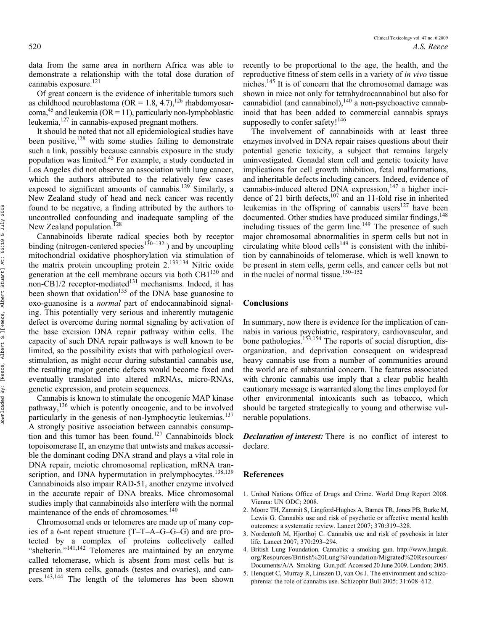data from the same area in northern Africa was able to demonstrate a relationship with the total dose duration of cannabis exposure.<sup>121</sup>

Of great concern is the evidence of inheritable tumors such as childhood neuroblastoma (OR = 1.8, 4.7),<sup>126</sup> rhabdomyosarcoma, <sup>45</sup> and leukemia (OR = 11), particularly non-lymphoblastic leukemia,127 in cannabis-exposed pregnant mothers.

It should be noted that not all epidemiological studies have been positive, $128$  with some studies failing to demonstrate such a link, possibly because cannabis exposure in the study population was limited.45 For example, a study conducted in Los Angeles did not observe an association with lung cancer, which the authors attributed to the relatively few cases exposed to significant amounts of cannabis.<sup>129</sup> Similarly, a New Zealand study of head and neck cancer was recently found to be negative, a finding attributed by the authors to uncontrolled confounding and inadequate sampling of the New Zealand population.<sup>128</sup>

Cannabinoids liberate radical species both by receptor binding (nitrogen-centered species<sup>130–132</sup>) and by uncoupling mitochondrial oxidative phosphorylation via stimulation of the matrix protein uncoupling protein 2.<sup>133,134</sup> Nitric oxide generation at the cell membrane occurs via both CB1<sup>130</sup> and non-CB1/2 receptor-mediated $131$  mechanisms. Indeed, it has been shown that oxidation<sup>135</sup> of the DNA base guanosine to oxo-guanosine is a *normal* part of endocannabinoid signaling. This potentially very serious and inherently mutagenic defect is overcome during normal signaling by activation of the base excision DNA repair pathway within cells. The capacity of such DNA repair pathways is well known to be limited, so the possibility exists that with pathological overstimulation, as might occur during substantial cannabis use, the resulting major genetic defects would become fixed and eventually translated into altered mRNAs, micro-RNAs, genetic expression, and protein sequences.

Cannabis is known to stimulate the oncogenic MAP kinase pathway,136 which is potently oncogenic, and to be involved particularly in the genesis of non-lymphocytic leukemias.<sup>137</sup> A strongly positive association between cannabis consumption and this tumor has been found.<sup>127</sup> Cannabinoids block topoisomerase II, an enzyme that untwists and makes accessible the dominant coding DNA strand and plays a vital role in DNA repair, meiotic chromosomal replication, mRNA transcription, and DNA hypermutation in prelymphocytes.<sup>138,139</sup> Cannabinoids also impair RAD-51, another enzyme involved in the accurate repair of DNA breaks. Mice chromosomal studies imply that cannabinoids also interfere with the normal maintenance of the ends of chromosomes.<sup>140</sup>

Chromosomal ends or telomeres are made up of many copies of a 6-nt repeat structure (T–T–A–G–G–G) and are protected by a complex of proteins collectively called "shelterin."141,142 Telomeres are maintained by an enzyme called telomerase, which is absent from most cells but is present in stem cells, gonads (testes and ovaries), and cancers.143,144 The length of the telomeres has been shown

recently to be proportional to the age, the health, and the reproductive fitness of stem cells in a variety of *in vivo* tissue niches.145 It is of concern that the chromosomal damage was shown in mice not only for tetrahydrocannabinol but also for cannabidiol (and cannabinol), $140$  a non-psychoactive cannabinoid that has been added to commercial cannabis sprays supposedly to confer safety!<sup>146</sup>

The involvement of cannabinoids with at least three enzymes involved in DNA repair raises questions about their potential genetic toxicity, a subject that remains largely uninvestigated. Gonadal stem cell and genetic toxicity have implications for cell growth inhibition, fetal malformations, and inheritable defects including cancers. Indeed, evidence of cannabis-induced altered DNA expression, $147$  a higher incidence of 21 birth defects, $107$  and an 11-fold rise in inherited leukemias in the offspring of cannabis users<sup>127</sup> have been documented. Other studies have produced similar findings, <sup>148</sup> including tissues of the germ line.<sup>149</sup> The presence of such major chromosomal abnormalities in sperm cells but not in circulating white blood cells $149$  is consistent with the inhibition by cannabinoids of telomerase, which is well known to be present in stem cells, germ cells, and cancer cells but not in the nuclei of normal tissue.<sup>150–152</sup>

# **Conclusions**

In summary, now there is evidence for the implication of cannabis in various psychiatric, respiratory, cardiovascular, and bone pathologies.<sup>153,154</sup> The reports of social disruption, disorganization, and deprivation consequent on widespread heavy cannabis use from a number of communities around the world are of substantial concern. The features associated with chronic cannabis use imply that a clear public health cautionary message is warranted along the lines employed for other environmental intoxicants such as tobacco, which should be targeted strategically to young and otherwise vulnerable populations.

*Declaration of interest:* There is no conflict of interest to declare.

#### **References**

- 1. United Nations Office of Drugs and Crime. World Drug Report 2008. Vienna: UN ODC; 2008.
- 2. Moore TH, Zammit S, Lingford-Hughes A, Barnes TR, Jones PB, Burke M, Lewis G. Cannabis use and risk of psychotic or affective mental health outcomes: a systematic review. Lancet 2007; 370:319–328.
- 3. Nordentoft M, Hjorthoj C. Cannabis use and risk of psychosis in later life. Lancet 2007; 370:293–294.
- 4. British Lung Foundation. Cannabis: a smoking gun. [http://www.lunguk.](http://www.lunguk.org/Resources/British%20Lung%Foundation/Migrated%20Resources/Documents/A/A_Smoking_Gun.pdf.) [org/Resources/British%20Lung%Foundation/Migrated%20Resources/](http://www.lunguk.org/Resources/British%20Lung%Foundation/Migrated%20Resources/Documents/A/A_Smoking_Gun.pdf.) [Documents/A/A\\_Smoking\\_Gun.pdf.](http://www.lunguk.org/Resources/British%20Lung%Foundation/Migrated%20Resources/Documents/A/A_Smoking_Gun.pdf.) Accessed 20 June 2009. London; 2005.
- 5. Henquet C, Murray R, Linszen D, van Os J. The environment and schizophrenia: the role of cannabis use. Schizophr Bull 2005; 31:608–612.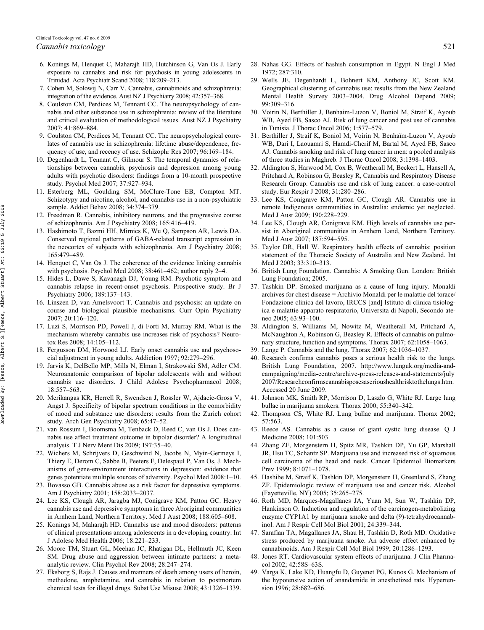- 6. Konings M, Henquet C, Maharajh HD, Hutchinson G, Van Os J. Early exposure to cannabis and risk for psychosis in young adolescents in Trinidad. Acta Psychiatr Scand 2008; 118:209–213.
- 7. Cohen M, Solowij N, Carr V. Cannabis, cannabinoids and schizophrenia: integration of the evidence. Aust NZ J Psychiatry 2008; 42:357–368.
- 8. Coulston CM, Perdices M, Tennant CC. The neuropsychology of cannabis and other substance use in schizophrenia: review of the literature and critical evaluation of methodological issues. Aust NZ J Psychiatry 2007; 41:869–884.
- 9. Coulston CM, Perdices M, Tennant CC. The neuropsychological correlates of cannabis use in schizophrenia: lifetime abuse/dependence, frequency of use, and recency of use. Schizophr Res 2007; 96:169–184.
- 10. Degenhardt L, Tennant C, Gilmour S. The temporal dynamics of relationships between cannabis, psychosis and depression among young adults with psychotic disorders: findings from a 10-month prospective study. Psychol Med 2007; 37:927–934.
- 11. Esterberg ML, Goulding SM, McClure-Tone EB, Compton MT. Schizotypy and nicotine, alcohol, and cannabis use in a non-psychiatric sample. Addict Behav 2008; 34:374–379.
- 12. Freedman R. Cannabis, inhibitory neurons, and the progressive course of schizophrenia. Am J Psychiatry 2008; 165:416–419.
- 13. Hashimoto T, Bazmi HH, Mirnics K, Wu Q, Sampson AR, Lewis DA. Conserved regional patterns of GABA-related transcript expression in the neocortex of subjects with schizophrenia. Am J Psychiatry 2008; 165:479–489.
- 14. Henquet C, Van Os J. The coherence of the evidence linking cannabis with psychosis. Psychol Med 2008; 38:461–462; author reply 2–4.
- 15. Hides L, Dawe S, Kavanagh DJ, Young RM. Psychotic symptom and cannabis relapse in recent-onset psychosis. Prospective study. Br J Psychiatry 2006; 189:137–143.
- 16. Linszen D, van Amelsvoort T. Cannabis and psychosis: an update on course and biological plausible mechanisms. Curr Opin Psychiatry 2007; 20:116–120.
- 17. Luzi S, Morrison PD, Powell J, di Forti M, Murray RM. What is the mechanism whereby cannabis use increases risk of psychosis? Neurotox Res 2008; 14:105–112.
- 18. Fergusson DM, Horwood LJ. Early onset cannabis use and psychosocial adjustment in young adults. Addiction 1997; 92:279–296.
- 19. Jarvis K, DelBello MP, Mills N, Elman I, Strakowski SM, Adler CM. Neuroanatomic comparison of bipolar adolescents with and without cannabis use disorders. J Child Adolesc Psychopharmacol 2008; 18:557–563.
- 20. Merikangas KR, Herrell R, Swendsen J, Rossler W, Ajdacic-Gross V, Angst J. Specificity of bipolar spectrum conditions in the comorbidity of mood and substance use disorders: results from the Zurich cohort study. Arch Gen Psychiatry 2008; 65:47–52.
- 21. van Rossum I, Boomsma M, Tenback D, Reed C, van Os J. Does cannabis use affect treatment outcome in bipolar disorder? A longitudinal analysis. T J Nerv Ment Dis 2009; 197:35–40.
- 22. Wichers M, Schrijvers D, Geschwind N, Jacobs N, Myin-Germeys I, Thiery E, Derom C, Sabbe B, Peeters F, Delespaul P, Van Os, J. Mechanisms of gene-environment interactions in depression: evidence that genes potentiate multiple sources of adversity. Psychol Med 2008:1–10.
- 23. Bovasso GB. Cannabis abuse as a risk factor for depressive symptoms. Am J Psychiatry 2001; 158:2033–2037.
- 24. Lee KS, Clough AR, Jaragba MJ, Conigrave KM, Patton GC. Heavy cannabis use and depressive symptoms in three Aboriginal communities in Arnhem Land, Northern Territory. Med J Aust 2008; 188:605–608.
- 25. Konings M, Maharajh HD. Cannabis use and mood disorders: patterns of clinical presentations among adolescents in a developing country. Int J Adolesc Med Health 2006; 18:221–233.
- 26. Moore TM, Stuart GL, Meehan JC, Rhatigan DL, Hellmuth JC, Keen SM. Drug abuse and aggression between intimate partners: a metaanalytic review. Clin Psychol Rev 2008; 28:247–274.
- 27. Eksborg S, Rajs J. Causes and manners of death among users of heroin, methadone, amphetamine, and cannabis in relation to postmortem chemical tests for illegal drugs. Subst Use Misuse 2008; 43:1326–1339.
- 28. Nahas GG. Effects of hashish consumption in Egypt. N Engl J Med 1972; 287:310.
- 29. Wells JE, Degenhardt L, Bohnert KM, Anthony JC, Scott KM. Geographical clustering of cannabis use: results from the New Zealand Mental Health Survey 2003–2004. Drug Alcohol Depend 2009; 99:309–316.
- 30. Voirin N, Berthiller J, Benhaim-Luzon V, Boniol M, Straif K, Ayoub WB, Ayed FB, Sasco AJ. Risk of lung cancer and past use of cannabis in Tunisia. J Thorac Oncol 2006; 1:577–579.
- 31. Berthiller J, Straif K, Boniol M, Voirin N, Benhaïm-Luzon V, Ayoub WB, Dari I, Laouamri S, Hamdi-Cherif M, Bartal M, Ayed FB, Sasco AJ. Cannabis smoking and risk of lung cancer in men: a pooled analysis of three studies in Maghreb. J Thorac Oncol 2008; 3:1398–1403.
- 32. Aldington S, Harwood M, Cox B, Weatherall M, Beckert L, Hansell A, Pritchard A, Robinson G, Beasley R, Cannabis and Respiratory Disease Research Group. Cannabis use and risk of lung cancer: a case-control study. Eur Respir J 2008; 31:280–286.
- 33. Lee KS, Conigrave KM, Patton GC, Clough AR. Cannabis use in remote Indigenous communities in Australia: endemic yet neglected. Med J Aust 2009; 190:228–229.
- 34. Lee KS, Clough AR, Conigrave KM. High levels of cannabis use persist in Aboriginal communities in Arnhem Land, Northern Territory. Med J Aust 2007; 187:594–595.
- 35. Taylor DR, Hall W. Respiratory health effects of cannabis: position statement of the Thoracic Society of Australia and New Zealand. Int Med J 2003; 33:310–313.
- 36. British Lung Foundation. Cannabis: A Smoking Gun. London: British Lung Foundation; 2005.
- 37. Tashkin DP. Smoked marijuana as a cause of lung injury. Monaldi archives for chest disease = Archivio Monaldi per le malattie del torace/ Fondazione clinica del lavoro, IRCCS [and] Istituto di clinica tisiologica e malattie apparato respiratorio, Universita di Napoli, Secondo ateneo 2005; 63:93–100.
- 38. Aldington S, Williams M, Nowitz M, Weatherall M, Pritchard A, McNaughton A, Robinson G, Beasley R. Effects of cannabis on pulmonary structure, function and symptoms. Thorax 2007; 62:1058–1063.
- 39. Lange P. Cannabis and the lung. Thorax 2007; 62:1036–1037.
- 40. Research confirms cannabis poses a serious health risk to the lungs. British Lung Foundation, 2007. [http://www.lunguk.org/media-and](http://www.lunguk.org/media-and-campaigning/media-centre/archive-press-releases-and-statements/july2007/Researchconfirmscannabisposesaserioushealthrisktothelungs.htm.)[campaigning/media-centre/archive-press-releases-and-statements/july](http://www.lunguk.org/media-and-campaigning/media-centre/archive-press-releases-and-statements/july2007/Researchconfirmscannabisposesaserioushealthrisktothelungs.htm.) [2007/Researchconfirmscannabisposesaserioushealthrisktothelungs.htm.](http://www.lunguk.org/media-and-campaigning/media-centre/archive-press-releases-and-statements/july2007/Researchconfirmscannabisposesaserioushealthrisktothelungs.htm.) Accessed 20 June 2009.
- 41. Johnson MK, Smith RP, Morrison D, Laszlo G, White RJ. Large lung bullae in marijuana smokers. Thorax 2000; 55:340–342.
- 42. Thompson CS, White RJ. Lung bullae and marijuana. Thorax 2002; 57:563.
- 43. Reece AS. Cannabis as a cause of giant cystic lung disease. Q J Medicine 2008; 101:503.
- 44. Zhang ZF, Morgenstern H, Spitz MR, Tashkin DP, Yu GP, Marshall JR, Hsu TC, Schantz SP. Marijuana use and increased risk of squamous cell carcinoma of the head and neck. Cancer Epidemiol Biomarkers Prev 1999; 8:1071–1078.
- 45. Hashibe M, Straif K, Tashkin DP, Morgenstern H, Greenland S, Zhang ZF. Epidemiologic review of marijuana use and cancer risk. Alcohol (Fayetteville, NY) 2005; 35:265–275.
- 46. Roth MD, Marques-Magallanes JA, Yuan M, Sun W, Tashkin DP, Hankinson O. Induction and regulation of the carcinogen-metabolizing enzyme CYP1A1 by marijuana smoke and delta (9)-tetrahydrocannabinol. Am J Respir Cell Mol Biol 2001; 24:339–344.
- 47. Sarafian TA, Magallanes JA, Shau H, Tashkin D, Roth MD. Oxidative stress produced by marijuana smoke. An adverse effect enhanced by cannabinoids. Am J Respir Cell Mol Biol 1999; 20:1286–1293.
- 48. Jones RT. Cardiovascular system effects of marijuana. J Clin Pharmacol 2002; 42:58S–63S.
- 49. Varga K, Lake KD, Huangfu D, Guyenet PG, Kunos G. Mechanism of the hypotensive action of anandamide in anesthetized rats. Hypertension 1996; 28:682–686.

2009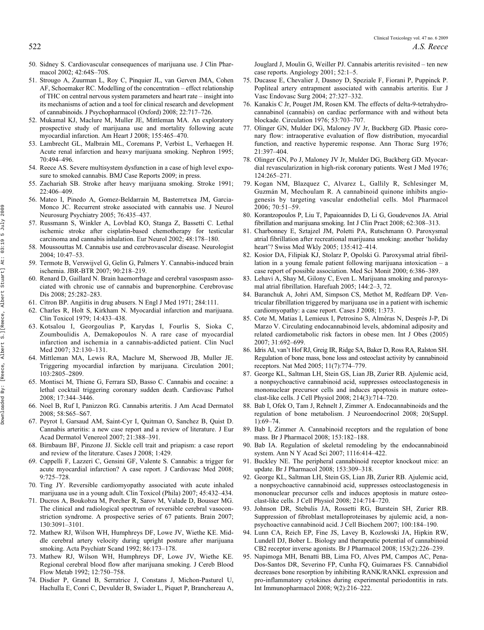- 50. Sidney S. Cardiovascular consequences of marijuana use. J Clin Pharmacol 2002; 42:64S–70S.
- 51. Strougo A, Zuurman L, Roy C, Pinquier JL, van Gerven JMA, Cohen AF, Schoemaker RC. Modelling of the concentration – effect relationship of THC on central nervous system parameters and heart rate – insight into its mechanisms of action and a tool for clinical research and development of cannabinoids. J Psychopharmacol (Oxford) 2008; 22:717–726.
- 52. Mukamal KJ, Maclure M, Muller JE, Mittleman MA. An exploratory prospective study of marijuana use and mortality following acute myocardial infarction. Am Heart J 2008; 155:465–470.
- 53. Lambrecht GL, Malbrain ML, Coremans P, Verbist L, Verhaegen H. Acute renal infarction and heavy marijuana smoking. Nephron 1995; 70:494–496.
- 54. Reece AS. Severe multisystem dysfunction in a case of high level exposure to smoked cannabis. BMJ Case Reports 2009; in press.
- 55. Zachariah SB. Stroke after heavy marijuana smoking. Stroke 1991;  $22:406-409$ .
- 56. Mateo I, Pinedo A, Gomez-Beldarrain M, Basterretxea JM, Garcia-Monco JC. Recurrent stroke associated with cannabis use. J Neurol Neurosurg Psychiatry 2005; 76:435–437.
- 57. Russmann S, Winkler A, Lovblad KO, Stanga Z, Bassetti C. Lethal ischemic stroke after cisplatin-based chemotherapy for testicular carcinoma and cannabis inhalation. Eur Neurol 2002; 48:178–180.
- 58. Moussouttas M. Cannabis use and cerebrovascular disease. Neurologist 2004; 10:47–53.
- 59. Termote B, Verswijvel G, Gelin G, Palmers Y. Cannabis-induced brain ischemia. JBR-BTR 2007; 90:218–219.
- 60. Renard D, Gaillard N. Brain haemorrhage and cerebral vasospasm associated with chronic use of cannabis and buprenorphine. Cerebrovasc Dis 2008; 25:282–283.
- 61. Citron BP. Angiitis in drug abusers. N Engl J Med 1971; 284:111.
- 62. Charles R, Holt S, Kirkham N. Myocardial infarction and marijuana. Clin Toxicol 1979; 14:433–438.
- 63. Kotsalou I, Georgoulias P, Karydas I, Fourlis S, Sioka C, Zoumboulidis A, Demakopoulos N. A rare case of myocardial infarction and ischemia in a cannabis-addicted patient. Clin Nucl Med 2007; 32:130–131.
- 64. Mittleman MA, Lewis RA, Maclure M, Sherwood JB, Muller JE. Triggering myocardial infarction by marijuana. Circulation 2001; 103:2805–2809.
- 65. Montisci M, Thiene G, Ferrara SD, Basso C. Cannabis and cocaine: a lethal cocktail triggering coronary sudden death. Cardiovasc Pathol 2008; 17:344–3446.
- 66. Noel B, Ruf I, Panizzon RG. Cannabis arteritis. J Am Acad Dermatol 2008; 58:S65–S67.
- 67. Peyrot I, Garsaud AM, Saint-Cyr I, Quitman O, Sanchez B, Quist D. Cannabis arteritis: a new case report and a review of literature. J Eur Acad Dermatol Venereol 2007; 21:388–391.
- 68. Birnbaum BF, Pinzone JJ. Sickle cell trait and priapism: a case report and review of the literature. Cases J 2008; 1:429.
- 69. Cappelli F, Lazzeri C, Gensini GF, Valente S. Cannabis: a trigger for acute myocardial infarction? A case report. J Cardiovasc Med 2008; 9:725–728.
- 70. Ting JY. Reversible cardiomyopathy associated with acute inhaled marijuana use in a young adult. Clin Toxicol (Phila) 2007; 45:432–434.
- 71. Ducros A, Boukobza M, Porcher R, Sarov M, Valade D, Bousser MG. The clinical and radiological spectrum of reversible cerebral vasoconstriction syndrome. A prospective series of 67 patients. Brain 2007; 130:3091–3101.
- 72. Mathew RJ, Wilson WH, Humphreys DF, Lowe JV, Wiethe KE. Middle cerebral artery velocity during upright posture after marijuana smoking. Acta Psychiatr Scand 1992; 86:173–178.
- 73. Mathew RJ, Wilson WH, Humphreys DF, Lowe JV, Wiethe KE. Regional cerebral blood flow after marijuana smoking. J Cereb Blood Flow Metab 1992; 12:750–758.
- 74. Disdier P, Granel B, Serratrice J, Constans J, Michon-Pasturel U, Hachulla E, Conri C, Devulder B, Swiader L, Piquet P, Branchereau A,

Jouglard J, Moulin G, Weiller PJ. Cannabis arteritis revisited – ten new case reports. Angiology 2001; 52:1–5.

- 75. Ducasse E, Chevalier J, Dasnoy D, Speziale F, Fiorani P, Puppinck P. Popliteal artery entrapment associated with cannabis arteritis. Eur J Vasc Endovasc Surg 2004; 27:327–332.
- 76. Kanakis C Jr, Pouget JM, Rosen KM. The effects of delta-9-tetrahydrocannabinol (cannabis) on cardiac performance with and without beta blockade. Circulation 1976; 53:703–707.
- 77. Olinger GN, Mulder DG, Maloney JV Jr, Buckberg GD. Phasic coronary flow: intraoperative evaluation of flow distribution, myocardial function, and reactive hyperemic response. Ann Thorac Surg 1976; 21:397–404.
- 78. Olinger GN, Po J, Maloney JV Jr, Mulder DG, Buckberg GD. Myocardial revascularization in high-risk coronary patients. West J Med 1976; 124:265–271.
- 79. Kogan NM, Blazquez C, Alvarez L, Gallily R, Schlesinger M, Guzmán M, Mechoulam R. A cannabinoid quinone inhibits angiogenesis by targeting vascular endothelial cells. Mol Pharmacol 2006; 70:51–59.
- 80. Korantzopoulos P, Liu T, Papaioannides D, Li G, Goudevenos JA. Atrial fibrillation and marijuana smoking. Int J Clin Pract 2008; 62:308–313.
- 81. Charbonney E, Sztajzel JM, Poletti PA, Rutschmann O. Paroxysmal atrial fibrillation after recreational marijuana smoking: another 'holiday heart'? Swiss Med Wkly 2005; 135:412–414.
- 82. Kosior DA, Filipiak KJ, Stolarz P, Opolski G. Paroxysmal atrial fibrillation in a young female patient following marijuana intoxication – a case report of possible association. Med Sci Monit 2000; 6:386–389.
- 83. Lehavi A, Shay M, Gilony C, Even L. Marijuana smoking and paroxysmal atrial fibrillation. Harefuah 2005; 144:2–3, 72.
- 84. Baranchuk A, Johri AM, Simpson CS, Methot M, Redfearn DP. Ventricular fibrillation triggered by marijuana use in a patient with ischemic cardiomyopathy: a case report. Cases J 2008; 1:373.
- 85. Cote M, Matias I, Lemieux I, Petrosino S, Alméras N, Després J-P, Di Marzo V. Circulating endocannabinoid levels, abdominal adiposity and related cardiometabolic risk factors in obese men. Int J Obes (2005) 2007; 31:692–699.
- 86. Idris AI, van't Hof RJ, Greig IR, Ridge SA, Baker D, Ross RA, Ralston SH. Regulation of bone mass, bone loss and osteoclast activity by cannabinoid receptors. Nat Med 2005; 11(7):774–779.
- 87. George KL, Saltman LH, Stein GS, Lian JB, Zurier RB. Ajulemic acid, a nonpsychoactive cannabinoid acid, suppresses osteoclastogenesis in mononuclear precursor cells and induces apoptosis in mature osteoclast-like cells. J Cell Physiol 2008; 214(3):714–720.
- 88. Bab I, Ofek O, Tam J, Rehnelt J, Zimmer A. Endocannabinoids and the regulation of bone metabolism. J Neuroendocrinol 2008; 20(Suppl. 1):69–74.
- 89. Bab I, Zimmer A. Cannabinoid receptors and the regulation of bone mass. Br J Pharmacol 2008; 153:182–188.
- 90. Bab IA. Regulation of skeletal remodeling by the endocannabinoid system. Ann N Y Acad Sci 2007; 1116:414–422.
- 91. Buckley NE. The peripheral cannabinoid receptor knockout mice: an update. Br J Pharmacol 2008; 153:309–318.
- 92. George KL, Saltman LH, Stein GS, Lian JB, Zurier RB. Ajulemic acid, a nonpsychoactive cannabinoid acid, suppresses osteoclastogenesis in mononuclear precursor cells and induces apoptosis in mature osteoclast-like cells. J Cell Physiol 2008; 214:714–720.
- 93. Johnson DR, Stebulis JA, Rossetti RG, Burstein SH, Zurier RB. Suppression of fibroblast metalloproteinases by ajulemic acid, a nonpsychoactive cannabinoid acid. J Cell Biochem 2007; 100:184–190.
- 94. Lunn CA, Reich EP, Fine JS, Lavey B, Kozlowski JA, Hipkin RW, Lundell DJ, Bober L. Biology and therapeutic potential of cannabinoid CB2 receptor inverse agonists. Br J Pharmacol 2008; 153(2):226–239.
- 95. Napimoga MH, Benatti BB, Lima FO, Alves PM, Campos AC, Pena-Dos-Santos DR, Severino FP, Cunha FQ, Guimaraes FS. Cannabidiol decreases bone resorption by inhibiting RANK/RANKL expression and pro-inflammatory cytokines during experimental periodontitis in rats. Int Immunopharmacol 2008; 9(2):216–222.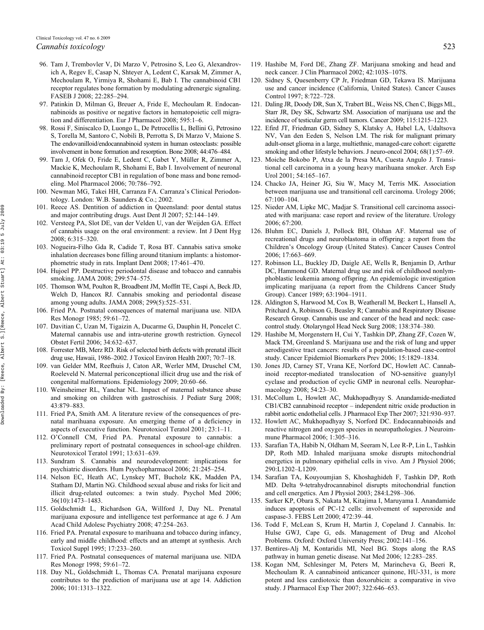- 96. Tam J, Trembovler V, Di Marzo V, Petrosino S, Leo G, Alexandrovich A, Regev E, Casap N, Shteyer A, Ledent C, Karsak M, Zimmer A, Mechoulam R, Yirmiya R, Shohami E, Bab I. The cannabinoid CB1 receptor regulates bone formation by modulating adrenergic signaling. FASEB J 2008; 22:285–294.
- 97. Patinkin D, Milman G, Breuer A, Fride E, Mechoulam R. Endocannabinoids as positive or negative factors in hematopoietic cell migration and differentiation. Eur J Pharmacol 2008; 595:1–6.
- 98. Rossi F, Siniscalco D, Luongo L, De Petrocellis L, Bellini G, Petrosino S, Torella M, Santoro C, Nobili B, Perrotta S, Di Marzo V, Maione S. The endovanilloid/endocannabinoid system in human osteoclasts: possible involvement in bone formation and resorption. Bone 2008; 44:476–484.
- 99. Tam J, Ofek O, Fride E, Ledent C, Gabet Y, Müller R, Zimmer A, Mackie K, Mechoulam R, Shohami E, Bab I. Involvement of neuronal cannabinoid receptor CB1 in regulation of bone mass and bone remodeling. Mol Pharmacol 2006; 70:786–792.
- 100. Newman MG, Takei HH, Carranza FA. Carranza's Clinical Periodontology. London: W.B. Saunders & Co.; 2002.
- 101. Reece AS. Dentition of addiction in Queensland: poor dental status and major contributing drugs. Aust Dent Jl 2007; 52:144–149.
- 102. Versteeg PA, Slot DE, van der Velden U, van der Weijden GA. Effect of cannabis usage on the oral environment: a review. Int J Dent Hyg 2008; 6:315–320.
- 103. Nogueira-Filho Gda R, Cadide T, Rosa BT. Cannabis sativa smoke inhalation decreases bone filling around titanium implants: a histomorphometric study in rats. Implant Dent 2008; 17:461–470.
- 104. Hujoel PP. Destructive periodontal disease and tobacco and cannabis smoking. JAMA 2008; 299:574–575.
- 105. Thomson WM, Poulton R, Broadbent JM, Moffitt TE, Caspi A, Beck JD, Welch D, Hancox RJ. Cannabis smoking and periodontal disease among young adults. JAMA 2008; 299(5):525–531.
- 106. Fried PA. Postnatal consequences of maternal marijuana use. NIDA Res Monogr 1985; 59:61–72.
- 107. Davitian C, Uzan M, Tigaizin A, Ducarme G, Dauphin H, Poncelet C. Maternal cannabis use and intra-uterine growth restriction. Gynecol Obstet Fertil 2006; 34:632–637.
- 108. Forrester MB, Merz RD. Risk of selected birth defects with prenatal illicit drug use, Hawaii, 1986–2002. J Toxicol Environ Health 2007; 70:7–18.
- 109. van Gelder MM, Reefhuis J, Caton AR, Werler MM, Druschel CM, Roeleveld N. Maternal periconceptional illicit drug use and the risk of congenital malformations. Epidemiology 2009; 20:60–66.
- 110. Weinsheimer RL, Yanchar NL. Impact of maternal substance abuse and smoking on children with gastroschisis. J Pediatr Surg 2008; 43:879–883.
- 111. Fried PA, Smith AM. A literature review of the consequences of prenatal marihuana exposure. An emerging theme of a deficiency in aspects of executive function. Neurotoxicol Teratol 2001; 23:1–11.
- 112. O'Connell CM, Fried PA. Prenatal exposure to cannabis: a preliminary report of postnatal consequences in school-age children. Neurotoxicol Teratol 1991; 13:631–639.
- 113. Sundram S. Cannabis and neurodevelopment: implications for psychiatric disorders. Hum Psychopharmacol 2006; 21:245–254.
- 114. Nelson EC, Heath AC, Lynskey MT, Bucholz KK, Madden PA, Statham DJ, Martin NG. Childhood sexual abuse and risks for licit and illicit drug-related outcomes: a twin study. Psychol Med 2006; 36(10):1473–1483.
- 115. Goldschmidt L, Richardson GA, Willford J, Day NL. Prenatal marijuana exposure and intelligence test performance at age 6. J Am Acad Child Adolesc Psychiatry 2008; 47:254–263.
- 116. Fried PA. Prenatal exposure to marihuana and tobacco during infancy, early and middle childhood: effects and an attempt at synthesis. Arch Toxicol Suppl 1995; 17:233–260.
- 117. Fried PA. Postnatal consequences of maternal marijuana use. NIDA Res Monogr 1998; 59:61–72.
- 118. Day NL, Goldschmidt L, Thomas CA. Prenatal marijuana exposure contributes to the prediction of marijuana use at age 14. Addiction 2006; 101:1313–1322.
- 119. Hashibe M, Ford DE, Zhang ZF. Marijuana smoking and head and neck cancer. J Clin Pharmacol 2002; 42:103S–107S.
- 120. Sidney S, Quesenberry CP Jr, Friedman GD, Tekawa IS. Marijuana use and cancer incidence (California, United States). Cancer Causes Control 1997; 8:722–728.
- 121. Daling JR, Doody DR, Sun X, Trabert BL, Weiss NS, Chen C, Biggs ML, Starr JR, Dey SK, Schwartz SM. Association of marijuana use and the incidence of testicular germ cell tumors. Cancer 2009; 115:1215–1223.
- 122. Efird JT, Friedman GD, Sidney S, Klatsky A, Habel LA, Udaltsova NV, Van den Eeden S, Nelson LM. The risk for malignant primary adult-onset glioma in a large, multiethnic, managed-care cohort: cigarette smoking and other lifestyle behaviors. J neuro-oncol 2004; 68(1):57–69.
- 123. Moiche Bokobo P, Atxa de la Presa MA, Cuesta Angulo J. Transitional cell carcinoma in a young heavy marihuana smoker. Arch Esp Urol 2001; 54:165–167.
- 124. Chacko JA, Heiner JG, Siu W, Macy M, Terris MK. Association between marijuana use and transitional cell carcinoma. Urology 2006; 67:100–104.
- 125. Nieder AM, Lipke MC, Madjar S. Transitional cell carcinoma associated with marijuana: case report and review of the literature. Urology 2006; 67:200.
- 126. Bluhm EC, Daniels J, Pollock BH, Olshan AF. Maternal use of recreational drugs and neuroblastoma in offspring: a report from the Children's Oncology Group (United States). Cancer Causes Control 2006; 17:663–669.
- 127. Robinson LL, Buckley JD, Daigle AE, Wells R, Benjamin D, Arthur DC, Hammond GD. Maternal drug use and risk of childhood nonlymphoblastic leukemia among offspring. An epidemiologic investigation implicating marijuana (a report from the Childrens Cancer Study Group). Cancer 1989; 63:1904–1911.
- 128. Aldington S, Harwood M, Cox B, Weatherall M, Beckert L, Hansell A, Pritchard A, Robinson G, Beasley R; Cannabis and Respiratory Disease Research Group. Cannabis use and cancer of the head and neck: casecontrol study. Otolaryngol Head Neck Surg 2008; 138:374–380.
- 129. Hashibe M, Morgenstern H, Cui Y, Tashkin DP, Zhang ZF, Cozen W, Mack TM, Greenland S. Marijuana use and the risk of lung and upper aerodigestive tract cancers: results of a population-based case-control study. Cancer Epidemiol Biomarkers Prev 2006; 15:1829–1834.
- 130. Jones JD, Carney ST, Vrana KE, Norford DC, Howlett AC. Cannabinoid receptor-mediated translocation of NO-sensitive guanylyl cyclase and production of cyclic GMP in neuronal cells. Neuropharmacology 2008; 54:23–30.
- 131. McCollum L, Howlett AC, Mukhopadhyay S. Anandamide-mediated CB1/CB2 cannabinoid receptor – independent nitric oxide production in rabbit aortic endothelial cells. J Pharmacol Exp Ther 2007; 321:930–937.
- 132. Howlett AC, Mukhopadhyay S, Norford DC. Endocannabinoids and reactive nitrogen and oxygen species in neuropathologies. J Neuroimmune Pharmacol 2006; 1:305–316.
- 133. Sarafian TA, Habib N, Oldham M, Seeram N, Lee R-P, Lin L, Tashkin DP, Roth MD. Inhaled marijuana smoke disrupts mitochondrial energetics in pulmonary epithelial cells in vivo. Am J Physiol 2006; 290:L1202–L1209.
- 134. Sarafian TA, Kouyoumjian S, Khoshaghideh F, Tashkin DP, Roth MD. Delta 9-tetrahydrocannabinol disrupts mitochondrial function and cell energetics. Am J Physiol 2003; 284:L298–306.
- 135. Sarker KP, Obara S, Nakata M, Kitajima I, Maruyama I. Anandamide induces apoptosis of PC-12 cells: involvement of superoxide and caspase-3. FEBS Lett 2000; 472:39–44.
- 136. Todd F, McLean S, Krum H, Martin J, Copeland J. Cannabis. In: Hulse GWJ, Cape G, eds. Management of Drug and Alcohol Problems. Oxford: Oxford University Press; 2002:141–156.
- 137. Bentires-Alj M, Kontaridis MI, Neel BG. Stops along the RAS pathway in human genetic disease. Nat Med 2006; 12:283–285.
- 138. Kogan NM, Schlesinger M, Peters M, Marincheva G, Beeri R, Mechoulam R. A cannabinoid anticancer quinone, HU-331, is more potent and less cardiotoxic than doxorubicin: a comparative in vivo study. J Pharmacol Exp Ther 2007; 322:646–653.

2009